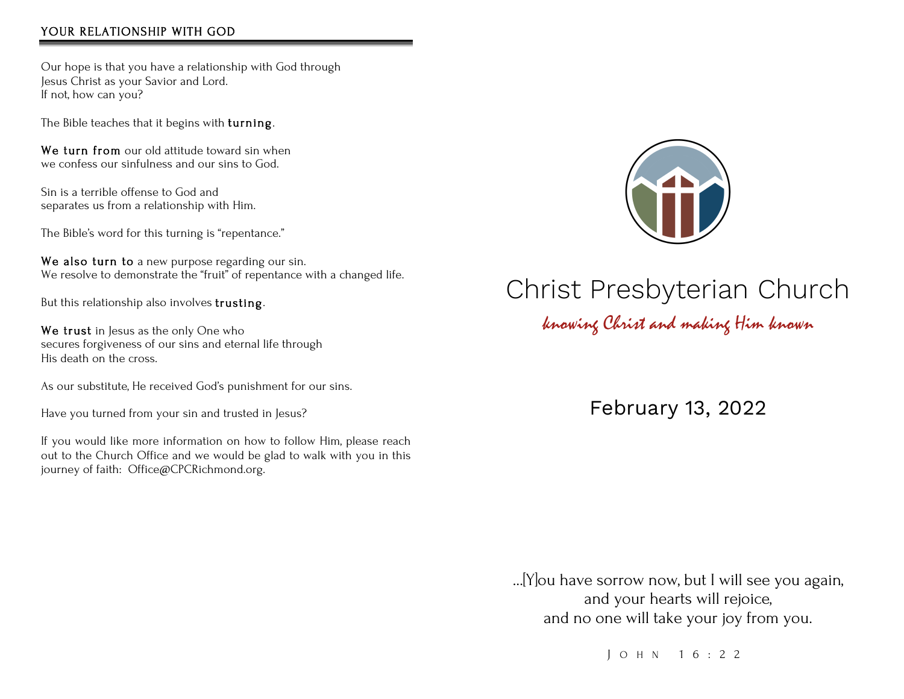#### YOUR RELATIONSHIP WITH GOD

Our hope is that you have a relationship with God through Jesus Christ as your Savior and Lord. If not, how can you?

The Bible teaches that it begins with turning.

We turn from our old attitude toward sin when we confess our sinfulness and our sins to God.

Sin is a terrible offense to God and separates us from a relationship with Him.

The Bible's word for this turning is "repentance."

We also turn to a new purpose regarding our sin. We resolve to demonstrate the "fruit" of repentance with a changed life.

But this relationship also involves trusting.

We trust in Jesus as the only One who secures forgiveness of our sins and eternal life through His death on the cross.

As our substitute, He received God's punishment for our sins.

Have you turned from your sin and trusted in Jesus?

If you would like more information on how to follow Him, please reach out to the Church Office and we would be glad to walk with you in this journey of faith: Office@CPCRichmond.org.



# Christ Presbyterian Church

knowing Christ and making Him known

February 13, 2022

…[Y]ou have sorrow now, but I will see you again, and your hearts will rejoice, and no one will take your joy from you.

J OHN 16:22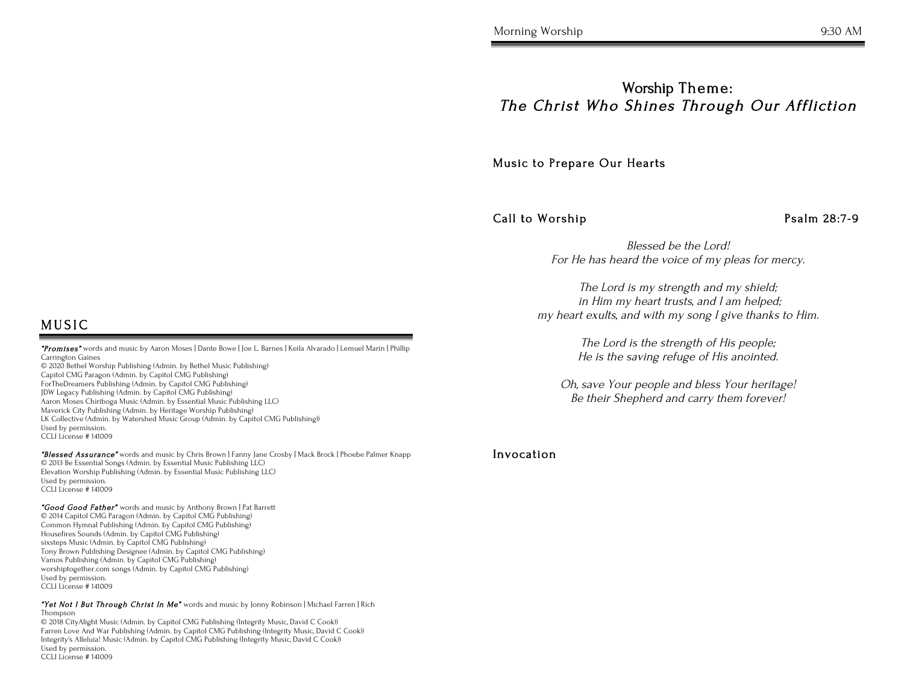### Worship Theme: The Christ Who Shines Through Our Affliction

Music to Prepare Our Hearts

Call to Worship Psalm 28:7-9

Blessed be the Lord! For He has heard the voice of my pleas for mercy.

The Lord is my strength and my shield; in Him my heart trusts, and I am helped; my heart exults, and with my song I give thanks to Him.

> The Lord is the strength of His people; He is the saving refuge of His anointed.

Oh, save Your people and bless Your heritage! Be their Shepherd and carry them forever!

#### Invocation

### **MUSIC**

 "Promises" words and music by Aaron Moses | Dante Bowe | Joe L. Barnes | Keila Alvarado | Lemuel Marin | Phillip Carrington Gaines © 2020 Bethel Worship Publishing (Admin. by Bethel Music Publishing) Capitol CMG Paragon (Admin. by Capitol CMG Publishing) ForTheDreamers Publishing (Admin. by Capitol CMG Publishing) JDW Legacy Publishing (Admin. by Capitol CMG Publishing) Aaron Moses Chiriboga Music (Admin. by Essential Music Publishing LLC) Maverick City Publishing (Admin. by Heritage Worship Publishing)

LK Collective (Admin. by Watershed Music Group (Admin. by Capitol CMG Publishing)) Used by permission. CCLI License # 141009

"Blessed Assurance" words and music by Chris Brown | Fanny Jane Crosby | Mack Brock | Phoebe Palmer Knapp © 2013 Be Essential Songs (Admin. by Essential Music Publishing LLC) Elevation Worship Publishing (Admin. by Essential Music Publishing LLC) Used by permission. CCLI License # 141009

"Good Good Father" words and music by Anthony Brown | Pat Barrett © 2014 Capitol CMG Paragon (Admin. by Capitol CMG Publishing) Common Hymnal Publishing (Admin. by Capitol CMG Publishing) Housefires Sounds (Admin. by Capitol CMG Publishing) sixsteps Music (Admin. by Capitol CMG Publishing) Tony Brown Publishing Designee (Admin. by Capitol CMG Publishing) Vamos Publishing (Admin. by Capitol CMG Publishing) worshiptogether.com songs (Admin. by Capitol CMG Publishing) Used by permission. CCLI License # 141009

"Yet Not I But Through Christ In Me" words and music by Jonny Robinson | Michael Farren | Rich Thompson

© 2018 CityAlight Music (Admin. by Capitol CMG Publishing (Integrity Music, David C Cook)) Farren Love And War Publishing (Admin. by Capitol CMG Publishing (Integrity Music, David C Cook)) Integrity's Alleluia! Music (Admin. by Capitol CMG Publishing (Integrity Music, David C Cook)) Used by permission. CCLI License # 141009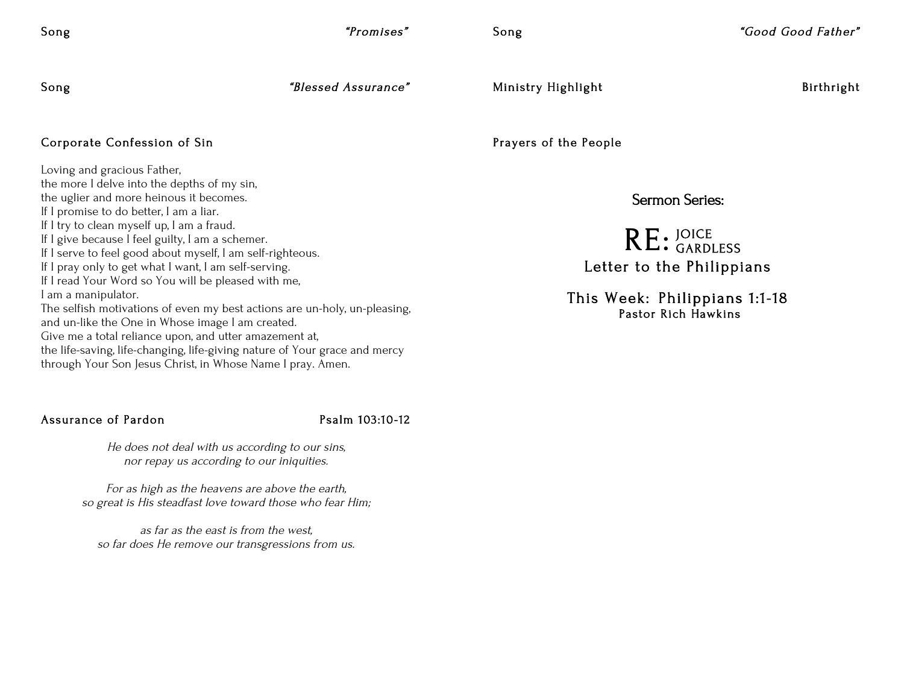Song "Promises"

Song  $"Good Good Father"$ 

Song  $\bullet$  "Blessed Assurance"

Ministry Highlight Birthright

#### Corporate Confession of Sin

Loving and gracious Father, the more I delve into the depths of my sin, the uglier and more heinous it becomes. If I promise to do better, I am a liar. If I try to clean myself up, I am a fraud. If I give because I feel guilty, I am a schemer. If I serve to feel good about myself, I am self-righteous. If I pray only to get what I want, I am self-serving. If I read Your Word so You will be pleased with me, I am a manipulator. The selfish motivations of even my best actions are un-holy, un-pleasing, and un-like the One in Whose image I am created. Give me a total reliance upon, and utter amazement at, the life-saving, life-changing, life-giving nature of Your grace and mercy through Your Son Jesus Christ, in Whose Name I pray. Amen.

## ertical contracts of Pardon Psalm 103:10-12

He does not deal with us according to our sins, nor repay us according to our iniquities.

For as high as the heavens are above the earth, so great is His steadfast love toward those who fear Him;

as far as the east is from the west, so far does He remove our transgressions from us. Prayers of the People

Sermon Series:

RE: JOICE Letter to the Philippians GARDLESS

> This Week: Philippians 1:1-18 Pastor Rich Hawkins